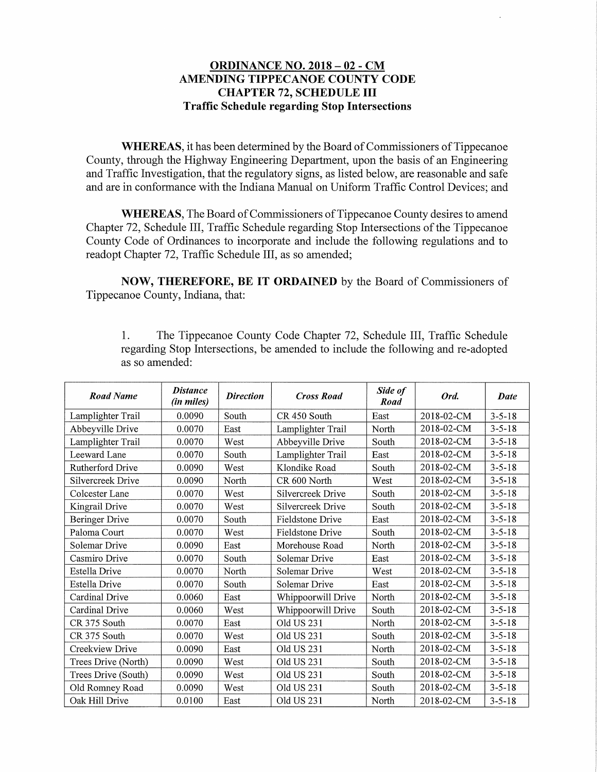## ORDINANCE NO. 2018 - 02 - CM AMENDING TIPPECANOE COUNTY CODE CHAPTER 72, SCHEDULE III Traffic Schedule regarding Stop Intersections

WHEREAS, it has been determined by the Board of Commissioners of Tippecanoe County, through the Highway Engineering Department, upon the basis of an Engineering and Traffic Investigation, that the regulatory signs, as listed below, are reasonable and safe and are in conformance with the Indiana Manual on Uniform Traffic Control Devices; and

WHEREAS, The Board of Commissioners of Tippecanoe County desires to amend Chapter 72, Schedule III, Traffic Schedule regarding Stop Intersections of the Tippecanoe County Code of Ordinances to incorporate and include the following regulations and to readopt Chapter 72, Traffic Schedule III, as so amended;

NOW, THEREFORE, BE IT ORDAINED by the Board of Commissioners of Tippecanoe County, Indiana, that:

1. The Tippecanoe County Code Chapter 72, Schedule III, Traffic Schedule regarding Stop Intersections, be amended to include the following and re-adopted as so amended:

| <b>Road Name</b>      | <b>Distance</b><br>(in miles) | <b>Direction</b> | <b>Cross Road</b>  | Side of<br>Road | Ord.       | Date         |
|-----------------------|-------------------------------|------------------|--------------------|-----------------|------------|--------------|
| Lamplighter Trail     | 0.0090                        | South            | CR 450 South       | East            | 2018-02-CM | $3 - 5 - 18$ |
| Abbeyville Drive      | 0.0070                        | East             | Lamplighter Trail  | North           | 2018-02-CM | $3 - 5 - 18$ |
| Lamplighter Trail     | 0.0070                        | West             | Abbeyville Drive   | South           | 2018-02-CM | $3 - 5 - 18$ |
| Leeward Lane          | 0.0070                        | South            | Lamplighter Trail  | East            | 2018-02-CM | $3 - 5 - 18$ |
| Rutherford Drive      | 0.0090                        | West             | Klondike Road      | South           | 2018-02-CM | $3 - 5 - 18$ |
| Silvercreek Drive     | 0.0090                        | North            | CR 600 North       | West            | 2018-02-CM | $3 - 5 - 18$ |
| Colcester Lane        | 0.0070                        | West             | Silvercreek Drive  | South           | 2018-02-CM | $3 - 5 - 18$ |
| Kingrail Drive        | 0.0070                        | West             | Silvercreek Drive  | South           | 2018-02-CM | $3 - 5 - 18$ |
| <b>Beringer Drive</b> | 0.0070                        | South            | Fieldstone Drive   | East            | 2018-02-CM | $3 - 5 - 18$ |
| Paloma Court          | 0.0070                        | West             | Fieldstone Drive   | South           | 2018-02-CM | $3 - 5 - 18$ |
| Solemar Drive         | 0.0090                        | East             | Morehouse Road     | North           | 2018-02-CM | $3 - 5 - 18$ |
| Casmiro Drive         | 0.0070                        | South            | Solemar Drive      | East            | 2018-02-CM | $3 - 5 - 18$ |
| <b>Estella Drive</b>  | 0.0070                        | North            | Solemar Drive      | West            | 2018-02-CM | $3 - 5 - 18$ |
| Estella Drive         | 0.0070                        | South            | Solemar Drive      | East            | 2018-02-CM | $3 - 5 - 18$ |
| Cardinal Drive        | 0.0060                        | East             | Whippoorwill Drive | North           | 2018-02-CM | $3 - 5 - 18$ |
| Cardinal Drive        | 0.0060                        | West             | Whippoorwill Drive | South           | 2018-02-CM | $3 - 5 - 18$ |
| CR 375 South          | 0.0070                        | East             | Old US 231         | North           | 2018-02-CM | $3 - 5 - 18$ |
| CR 375 South          | 0.0070                        | West             | Old US 231         | South           | 2018-02-CM | $3 - 5 - 18$ |
| Creekview Drive       | 0.0090                        | East             | Old US 231         | North           | 2018-02-CM | $3 - 5 - 18$ |
| Trees Drive (North)   | 0.0090                        | West             | Old US 231         | South           | 2018-02-CM | $3 - 5 - 18$ |
| Trees Drive (South)   | 0.0090                        | West             | Old US 231         | South           | 2018-02-CM | $3 - 5 - 18$ |
| Old Romney Road       | 0.0090                        | West             | Old US 231         | South           | 2018-02-CM | $3 - 5 - 18$ |
| Oak Hill Drive        | 0.0100                        | East             | Old US 231         | North           | 2018-02-CM | $3 - 5 - 18$ |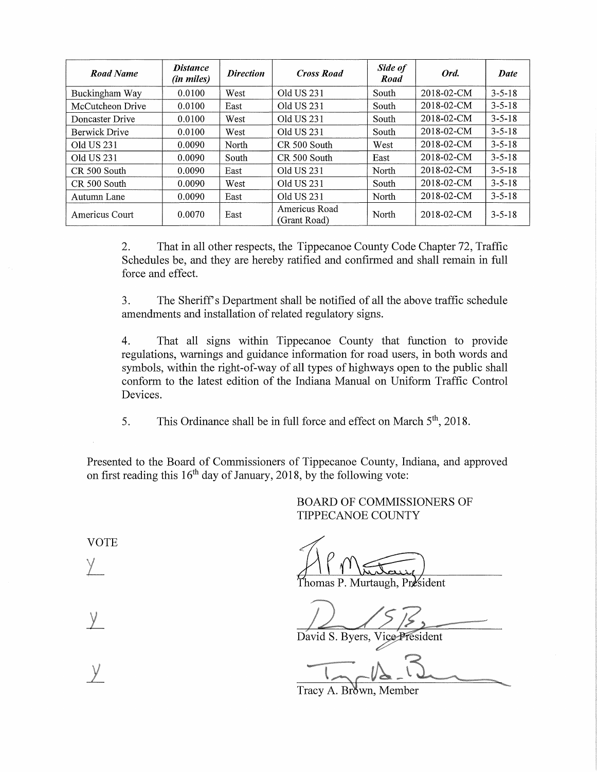| <b>Road Name</b>     | <b>Distance</b><br>(in miles) | <b>Direction</b> | <b>Cross Road</b>             | Side of<br>Road | Ord.       | Date         |
|----------------------|-------------------------------|------------------|-------------------------------|-----------------|------------|--------------|
| Buckingham Way       | 0.0100                        | West             | Old US 231                    | South           | 2018-02-CM | $3 - 5 - 18$ |
| McCutcheon Drive     | 0.0100                        | East             | Old US 231                    | South           | 2018-02-CM | $3 - 5 - 18$ |
| Doncaster Drive      | 0.0100                        | West             | Old US 231                    | South           | 2018-02-CM | $3 - 5 - 18$ |
| <b>Berwick Drive</b> | 0.0100                        | West             | Old US 231                    | South           | 2018-02-CM | $3 - 5 - 18$ |
| Old US 231           | 0.0090                        | North            | CR 500 South                  | West            | 2018-02-CM | $3 - 5 - 18$ |
| Old US 231           | 0.0090                        | South            | CR 500 South                  | East            | 2018-02-CM | $3 - 5 - 18$ |
| CR 500 South         | 0.0090                        | East             | Old US 231                    | North           | 2018-02-CM | $3 - 5 - 18$ |
| CR 500 South         | 0.0090                        | West             | Old US 231                    | South           | 2018-02-CM | $3 - 5 - 18$ |
| Autumn Lane          | 0.0090                        | East             | Old US 231                    | North           | 2018-02-CM | $3 - 5 - 18$ |
| Americus Court       | 0.0070                        | East             | Americus Road<br>(Grant Road) | North           | 2018-02-CM | $3 - 5 - 18$ |

2. That in all other respects, the Tippecanoe County Code Chapter 72, Traffic Schedules be, and they are hereby ratified and confirmed and shall remain in full force and effect.

3. The Sheriff's Department shall be notified of all the above traffic schedule amendments and installation of related regulatory signs.

4. That all signs within Tippecanoe County that function to provide regulations, warnings and guidance information for road users, in both words and symbols, within the right-of-way of all types of highways open to the public shall conform to the latest edition of the Indiana Manual on Uniform Traffic Control Devices.

5. This Ordinance shall be in full force and effect on March 5<sup>th</sup>, 2018.

Presented to the Board of Commissioners of Tippecanoe County, Indiana, and approved on first reading this  $16<sup>th</sup>$  day of January, 2018, by the following vote:

> BOARD OF COMMISSIONERS OF TIPPECANOE COUNTY

VOTE

Y.

 $\overline{y}$ 

Thomas P. Murtaugh, President

David S. Byers, Vice President

Tracy A. Brown, Member